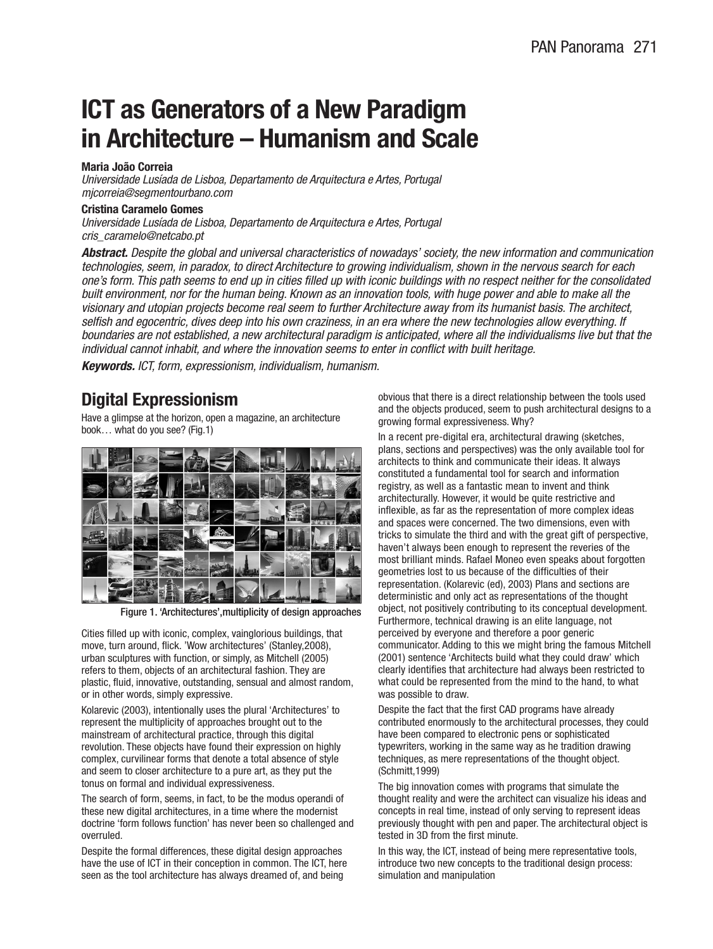## **ICT as Generators of a New Paradigm in Architecture – Humanism and Scale**

### **Maria João Correia**

Universidade Lusíada de Lisboa, Departamento de Arquitectura e Artes, Portugal mjcorreia@segmentourbano.com

#### **Cristina Caramelo Gomes**

Universidade Lusíada de Lisboa, Departamento de Arquitectura e Artes, Portugal cris\_caramelo@netcabo.pt

**Abstract.** Despite the global and universal characteristics of nowadays' society, the new information and communication technologies, seem, in paradox, to direct Architecture to growing individualism, shown in the nervous search for each one's form. This path seems to end up in cities filled up with iconic buildings with no respect neither for the consolidated built environment, nor for the human being. Known as an innovation tools, with huge power and able to make all the visionary and utopian projects become real seem to further Architecture away from its humanist basis. The architect, selfish and egocentric, dives deep into his own craziness, in an era where the new technologies allow everything. If boundaries are not established, a new architectural paradigm is anticipated, where all the individualisms live but that the individual cannot inhabit, and where the innovation seems to enter in conflict with built heritage.

**Keywords.** ICT, form, expressionism, individualism, humanism.

## **Digital Expressionism**

Have a glimpse at the horizon, open a magazine, an architecture book… what do you see? (Fig.1)



Figure 1. 'Architectures',multiplicity of design approaches

Cities filled up with iconic, complex, vainglorious buildings, that move, turn around, flick. 'Wow architectures' (Stanley,2008), urban sculptures with function, or simply, as Mitchell (2005) refers to them, objects of an architectural fashion. They are plastic, fluid, innovative, outstanding, sensual and almost random, or in other words, simply expressive.

Kolarevic (2003), intentionally uses the plural 'Architectures' to represent the multiplicity of approaches brought out to the mainstream of architectural practice, through this digital revolution. These objects have found their expression on highly complex, curvilinear forms that denote a total absence of style and seem to closer architecture to a pure art, as they put the tonus on formal and individual expressiveness.

The search of form, seems, in fact, to be the modus operandi of these new digital architectures, in a time where the modernist doctrine 'form follows function' has never been so challenged and overruled.

Despite the formal differences, these digital design approaches have the use of ICT in their conception in common. The ICT, here seen as the tool architecture has always dreamed of, and being

obvious that there is a direct relationship between the tools used and the objects produced, seem to push architectural designs to a growing formal expressiveness. Why?

In a recent pre-digital era, architectural drawing (sketches, plans, sections and perspectives) was the only available tool for architects to think and communicate their ideas. It always constituted a fundamental tool for search and information registry, as well as a fantastic mean to invent and think architecturally. However, it would be quite restrictive and inflexible, as far as the representation of more complex ideas and spaces were concerned. The two dimensions, even with tricks to simulate the third and with the great gift of perspective, haven't always been enough to represent the reveries of the most brilliant minds. Rafael Moneo even speaks about forgotten geometries lost to us because of the difficulties of their representation. (Kolarevic (ed), 2003) Plans and sections are deterministic and only act as representations of the thought object, not positively contributing to its conceptual development. Furthermore, technical drawing is an elite language, not perceived by everyone and therefore a poor generic communicator. Adding to this we might bring the famous Mitchell (2001) sentence 'Architects build what they could draw' which clearly identifies that architecture had always been restricted to what could be represented from the mind to the hand, to what was possible to draw.

Despite the fact that the first CAD programs have already contributed enormously to the architectural processes, they could have been compared to electronic pens or sophisticated typewriters, working in the same way as he tradition drawing techniques, as mere representations of the thought object. (Schmitt,1999)

The big innovation comes with programs that simulate the thought reality and were the architect can visualize his ideas and concepts in real time, instead of only serving to represent ideas previously thought with pen and paper. The architectural object is tested in 3D from the first minute.

In this way, the ICT, instead of being mere representative tools, introduce two new concepts to the traditional design process: simulation and manipulation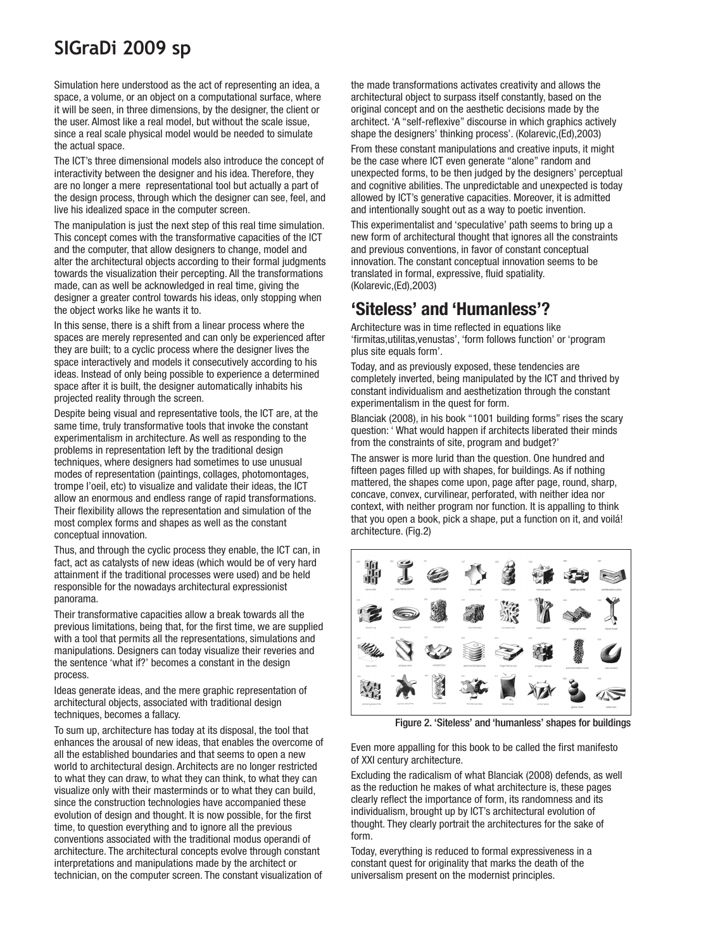# **SIGraDi 2009 sp**

Simulation here understood as the act of representing an idea, a space, a volume, or an object on a computational surface, where it will be seen, in three dimensions, by the designer, the client or the user. Almost like a real model, but without the scale issue, since a real scale physical model would be needed to simulate the actual space.

The ICT's three dimensional models also introduce the concept of interactivity between the designer and his idea. Therefore, they are no longer a mere representational tool but actually a part of the design process, through which the designer can see, feel, and live his idealized space in the computer screen.

The manipulation is just the next step of this real time simulation. This concept comes with the transformative capacities of the ICT and the computer, that allow designers to change, model and alter the architectural objects according to their formal judgments towards the visualization their percepting. All the transformations made, can as well be acknowledged in real time, giving the designer a greater control towards his ideas, only stopping when the object works like he wants it to.

In this sense, there is a shift from a linear process where the spaces are merely represented and can only be experienced after they are built; to a cyclic process where the designer lives the space interactively and models it consecutively according to his ideas. Instead of only being possible to experience a determined space after it is built, the designer automatically inhabits his projected reality through the screen.

Despite being visual and representative tools, the ICT are, at the same time, truly transformative tools that invoke the constant experimentalism in architecture. As well as responding to the problems in representation left by the traditional design techniques, where designers had sometimes to use unusual modes of representation (paintings, collages, photomontages, trompe l'oeil, etc) to visualize and validate their ideas, the ICT allow an enormous and endless range of rapid transformations. Their flexibility allows the representation and simulation of the most complex forms and shapes as well as the constant conceptual innovation.

Thus, and through the cyclic process they enable, the ICT can, in fact, act as catalysts of new ideas (which would be of very hard attainment if the traditional processes were used) and be held responsible for the nowadays architectural expressionist panorama.

Their transformative capacities allow a break towards all the previous limitations, being that, for the first time, we are supplied with a tool that permits all the representations, simulations and manipulations. Designers can today visualize their reveries and the sentence 'what if?' becomes a constant in the design process.

Ideas generate ideas, and the mere graphic representation of architectural objects, associated with traditional design techniques, becomes a fallacy.

To sum up, architecture has today at its disposal, the tool that enhances the arousal of new ideas, that enables the overcome of all the established boundaries and that seems to open a new world to architectural design. Architects are no longer restricted to what they can draw, to what they can think, to what they can visualize only with their masterminds or to what they can build, since the construction technologies have accompanied these evolution of design and thought. It is now possible, for the first time, to question everything and to ignore all the previous conventions associated with the traditional modus operandi of architecture. The architectural concepts evolve through constant interpretations and manipulations made by the architect or technician, on the computer screen. The constant visualization of

the made transformations activates creativity and allows the architectural object to surpass itself constantly, based on the original concept and on the aesthetic decisions made by the architect. 'A "self-reflexive" discourse in which graphics actively shape the designers' thinking process'. (Kolarevic,(Ed),2003)

From these constant manipulations and creative inputs, it might be the case where ICT even generate "alone" random and unexpected forms, to be then judged by the designers' perceptual and cognitive abilities. The unpredictable and unexpected is today allowed by ICT's generative capacities. Moreover, it is admitted and intentionally sought out as a way to poetic invention.

This experimentalist and 'speculative' path seems to bring up a new form of architectural thought that ignores all the constraints and previous conventions, in favor of constant conceptual innovation. The constant conceptual innovation seems to be translated in formal, expressive, fluid spatiality. (Kolarevic,(Ed),2003)

### **'Siteless' and 'Humanless'?**

Architecture was in time reflected in equations like 'firmitas,utilitas,venustas', 'form follows function' or 'program plus site equals form'.

Today, and as previously exposed, these tendencies are completely inverted, being manipulated by the ICT and thrived by constant individualism and aesthetization through the constant experimentalism in the quest for form.

Blanciak (2008), in his book "1001 building forms" rises the scary question: ' What would happen if architects liberated their minds from the constraints of site, program and budget?'

The answer is more lurid than the question. One hundred and fifteen pages filled up with shapes, for buildings. As if nothing mattered, the shapes come upon, page after page, round, sharp, concave, convex, curvilinear, perforated, with neither idea nor context, with neither program nor function. It is appalling to think that you open a book, pick a shape, put a function on it, and voilá! architecture. (Fig.2)



Figure 2. 'Siteless' and 'humanless' shapes for buildings

Even more appalling for this book to be called the first manifesto of XXI century architecture.

Excluding the radicalism of what Blanciak (2008) defends, as well as the reduction he makes of what architecture is, these pages clearly reflect the importance of form, its randomness and its individualism, brought up by ICT's architectural evolution of thought. They clearly portrait the architectures for the sake of form.

Today, everything is reduced to formal expressiveness in a constant quest for originality that marks the death of the universalism present on the modernist principles.